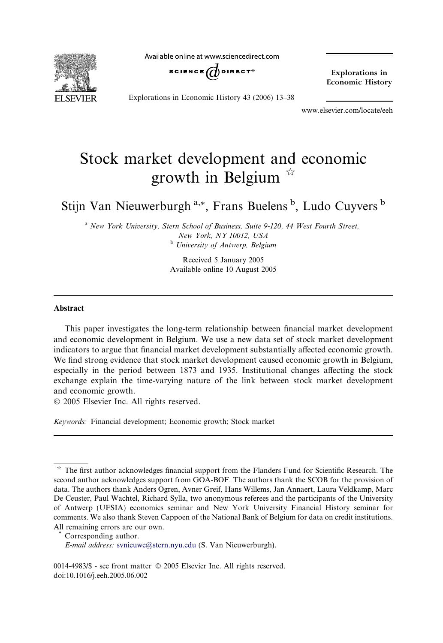**EI SEVIER** 

Available online at www.sciencedirect.com



Explorations in Economic History

Explorations in Economic History 43 (2006) 13–38

www.elsevier.com/locate/eeh

## Stock market development and economic growth in Belgium  $\overrightarrow{a}$

Stijn Van Nieuwerburgh<sup>a,\*</sup>, Frans Buelens<sup>b</sup>, Ludo Cuyvers<sup>b</sup>

<sup>a</sup> New York University, Stern School of Business, Suite 9-120, 44 West Fourth Street, New York, NY 10012, USA <sup>b</sup> University of Antwerp, Belgium

> Received 5 January 2005 Available online 10 August 2005

## Abstract

This paper investigates the long-term relationship between financial market development and economic development in Belgium. We use a new data set of stock market development indicators to argue that financial market development substantially affected economic growth. We find strong evidence that stock market development caused economic growth in Belgium, especially in the period between 1873 and 1935. Institutional changes affecting the stock exchange explain the time-varying nature of the link between stock market development and economic growth.

2005 Elsevier Inc. All rights reserved.

Keywords: Financial development; Economic growth; Stock market

Corresponding author.

E-mail address: [svnieuwe@stern.nyu.edu](mailto:svnieuwe@stern.nyu.edu) (S. Van Nieuwerburgh).

 $*$  The first author acknowledges financial support from the Flanders Fund for Scientific Research. The second author acknowledges support from GOA-BOF. The authors thank the SCOB for the provision of data. The authors thank Anders Ogren, Avner Greif, Hans Willems, Jan Annaert, Laura Veldkamp, Marc De Ceuster, Paul Wachtel, Richard Sylla, two anonymous referees and the participants of the University of Antwerp (UFSIA) economics seminar and New York University Financial History seminar for comments. We also thank Steven Cappoen of the National Bank of Belgium for data on credit institutions. All remaining errors are our own.

<sup>0014-4983/\$ -</sup> see front matter  $\odot$  2005 Elsevier Inc. All rights reserved. doi:10.1016/j.eeh.2005.06.002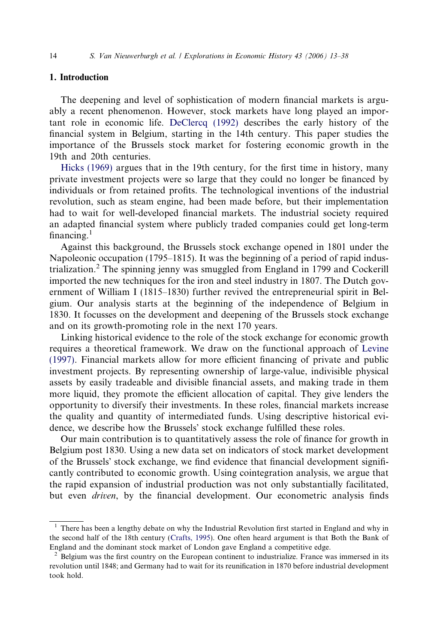## 1. Introduction

The deepening and level of sophistication of modern financial markets is arguably a recent phenomenon. However, stock markets have long played an important role in economic life. [DeClercq \(1992\)](#page--1-0) describes the early history of the financial system in Belgium, starting in the 14th century. This paper studies the importance of the Brussels stock market for fostering economic growth in the 19th and 20th centuries.

[Hicks \(1969\)](#page--1-0) argues that in the 19th century, for the first time in history, many private investment projects were so large that they could no longer be financed by individuals or from retained profits. The technological inventions of the industrial revolution, such as steam engine, had been made before, but their implementation had to wait for well-developed financial markets. The industrial society required an adapted financial system where publicly traded companies could get long-term financing. $<sup>1</sup>$ </sup>

Against this background, the Brussels stock exchange opened in 1801 under the Napoleonic occupation (1795–1815). It was the beginning of a period of rapid industrialization.<sup>2</sup> The spinning jenny was smuggled from England in 1799 and Cockerill imported the new techniques for the iron and steel industry in 1807. The Dutch government of William I (1815–1830) further revived the entrepreneurial spirit in Belgium. Our analysis starts at the beginning of the independence of Belgium in 1830. It focusses on the development and deepening of the Brussels stock exchange and on its growth-promoting role in the next 170 years.

Linking historical evidence to the role of the stock exchange for economic growth requires a theoretical framework. We draw on the functional approach of [Levine](#page--1-0) [\(1997\).](#page--1-0) Financial markets allow for more efficient financing of private and public investment projects. By representing ownership of large-value, indivisible physical assets by easily tradeable and divisible financial assets, and making trade in them more liquid, they promote the efficient allocation of capital. They give lenders the opportunity to diversify their investments. In these roles, financial markets increase the quality and quantity of intermediated funds. Using descriptive historical evidence, we describe how the Brussels' stock exchange fulfilled these roles.

Our main contribution is to quantitatively assess the role of finance for growth in Belgium post 1830. Using a new data set on indicators of stock market development of the Brussels' stock exchange, we find evidence that financial development significantly contributed to economic growth. Using cointegration analysis, we argue that the rapid expansion of industrial production was not only substantially facilitated, but even driven, by the financial development. Our econometric analysis finds

 $<sup>1</sup>$  There has been a lengthy debate on why the Industrial Revolution first started in England and why in</sup> the second half of the 18th century [\(Crafts, 1995](#page--1-0)). One often heard argument is that Both the Bank of England and the dominant stock market of London gave England a competitive edge.

<sup>&</sup>lt;sup>2</sup> Belgium was the first country on the European continent to industrialize. France was immersed in its revolution until 1848; and Germany had to wait for its reunification in 1870 before industrial development took hold.